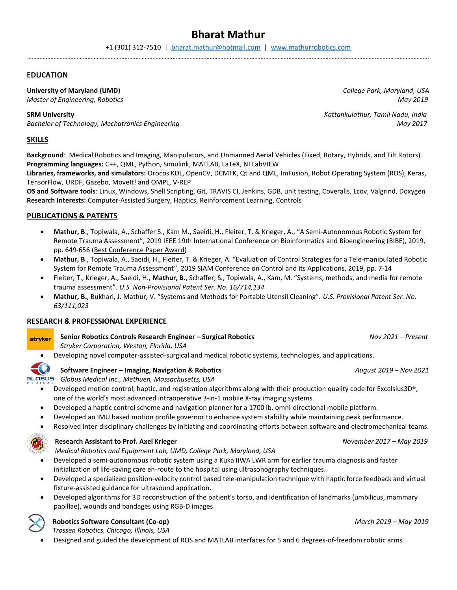# Bharat Mathur

### EDUCATION

### University of Maryland (UMD) and the College Park, Maryland, USA and the College Park, Maryland, USA

Master of Engineering, Robotics and Samuel Community of the May 2019 May 2019

Bachelor of Technology, Mechatronics Engineering May 2017

# SKILLS

Background: Medical Robotics and Imaging, Manipulators, and Unmanned Aerial Vehicles (Fixed, Rotary, Hybrids, and Tilt Rotors) Programming languages: C++, QML, Python, Simulink, MATLAB, LaTeX, NI LabVIEW

Libraries, frameworks, and simulators: Orocos KDL, OpenCV, DCMTK, Qt and QML, ImFusion, Robot Operating System (ROS), Keras, TensorFlow, URDF, Gazebo, MoveIt! and OMPL, V-REP

OS and Software tools: Linux, Windows, Shell Scripting, Git, TRAVIS CI, Jenkins, GDB, unit testing, Coveralls, Lcov, Valgrind, Doxygen Research Interests: Computer-Assisted Surgery, Haptics, Reinforcement Learning, Controls

# PUBLICATIONS & PATENTS

- Mathur, B., Topiwala, A., Schaffer S., Kam M., Saeidi, H., Fleiter, T. & Krieger, A., "A Semi-Autonomous Robotic System for Remote Trauma Assessment", 2019 IEEE 19th International Conference on Bioinformatics and Bioengineering (BIBE), 2019, pp. 649-656 (Best Conference Paper Award)
- Mathur, B., Topiwala, A., Saeidi, H., Fleiter, T. & Krieger, A. "Evaluation of Control Strategies for a Tele-manipulated Robotic System for Remote Trauma Assessment", 2019 SIAM Conference on Control and its Applications, 2019, pp. 7-14
- Fleiter, T., Krieger, A., Saeidi, H., Mathur, B., Schaffer, S., Topiwala, A., Kam, M. "Systems, methods, and media for remote trauma assessment". U.S. Non-Provisional Patent Ser. No. 16/714,134
- Mathur, B., Bukhari, J. Mathur, V. "Systems and Methods for Portable Utensil Cleaning". U.S. Provisional Patent Ser. No. 63/111,023

# RESEARCH & PROFESSIONAL EXPERIENCE

Senior Robotics Controls Research Engineer – Surgical Robotics Nov 2021 – Present stryker

Stryker Corporation, Weston, Florida, USA

Developing novel computer-assisted-surgical and medical robotic systems, technologies, and applications.

# Software Engineer – Imaging, Navigation & Robotics **August 2019 - Nov 2021** August 2019 - Nov 2021

GLOBUS Globus Medical Inc., Methuen, Massachusetts, USA

- Developed motion control, haptic, and registration algorithms along with their production quality code for Excelsius3D®, one of the world's most advanced intraoperative 3-in-1 mobile X-ray imaging systems.
- Developed a haptic control scheme and navigation planner for a 1700 lb. omni-directional mobile platform.
- Developed an IMU based motion profile governor to enhance system stability while maintaining peak performance.
- Resolved inter-disciplinary challenges by initiating and coordinating efforts between software and electromechanical teams.



# Research Assistant to Prof. Axel Krieger November 2017 – May 2019

Medical Robotics and Equipment Lab, UMD, College Park, Maryland, USA

- Developed a semi-autonomous robotic system using a Kuka IIWA LWR arm for earlier trauma diagnosis and faster initialization of life-saving care en-route to the hospital using ultrasonography techniques.
- Developed a specialized position-velocity control based tele-manipulation technique with haptic force feedback and virtual fixture-assisted guidance for ultrasound application.
- Developed algorithms for 3D reconstruction of the patient's torso, and identification of landmarks (umbilicus, mammary papillae), wounds and bandages using RGB-D images.

# Robotics Software Consultant (Co-op) and the consultant (Co-op) and the consultant (Co-op) March 2019 – May 2019

Trossen Robotics, Chicago, Illinois, USA

Designed and guided the development of ROS and MATLAB interfaces for 5 and 6 degrees-of-freedom robotic arms.

SRM University **SRM University Kattankulathur, Tamil Nadu, India**